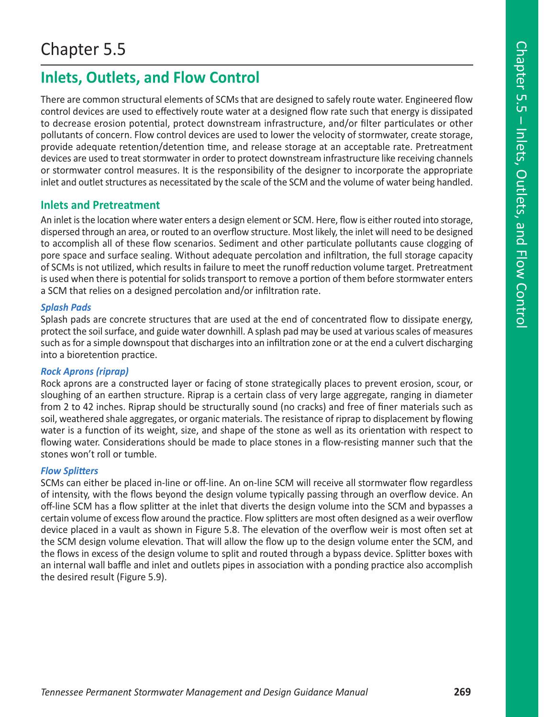# **Inlets, Outlets, and Flow Control**

There are common structural elements of SCMs that are designed to safely route water. Engineered flow control devices are used to effectively route water at a designed flow rate such that energy is dissipated to decrease erosion potential, protect downstream infrastructure, and/or filter particulates or other pollutants of concern. Flow control devices are used to lower the velocity of stormwater, create storage, provide adequate retention/detention time, and release storage at an acceptable rate. Pretreatment devices are used to treat stormwater in order to protect downstream infrastructure like receiving channels or stormwater control measures. It is the responsibility of the designer to incorporate the appropriate inlet and outlet structures as necessitated by the scale of the SCM and the volume of water being handled.

## **Inlets and Pretreatment**

An inlet is the location where water enters a design element or SCM. Here, flow is either routed into storage, dispersed through an area, or routed to an overflow structure. Most likely, the inlet will need to be designed to accomplish all of these flow scenarios. Sediment and other particulate pollutants cause clogging of pore space and surface sealing. Without adequate percolation and infiltration, the full storage capacity of SCMs is not utilized, which results in failure to meet the runoff reduction volume target. Pretreatment is used when there is potential for solids transport to remove a portion of them before stormwater enters a SCM that relies on a designed percolation and/or infiltration rate.

## *Splash Pads*

Splash pads are concrete structures that are used at the end of concentrated flow to dissipate energy, protect the soil surface, and guide water downhill. A splash pad may be used at various scales of measures such as for a simple downspout that discharges into an infiltration zone or at the end a culvert discharging into a bioretention practice.

## *Rock Aprons (riprap)*

Rock aprons are a constructed layer or facing of stone strategically places to prevent erosion, scour, or sloughing of an earthen structure. Riprap is a certain class of very large aggregate, ranging in diameter from 2 to 42 inches. Riprap should be structurally sound (no cracks) and free of finer materials such as soil, weathered shale aggregates, or organic materials. The resistance of riprap to displacement by flowing water is a function of its weight, size, and shape of the stone as well as its orientation with respect to flowing water. Considerations should be made to place stones in a flow-resisting manner such that the stones won't roll or tumble.

## *Flow Splitters*

SCMs can either be placed in-line or off-line. An on-line SCM will receive all stormwater flow regardless of intensity, with the flows beyond the design volume typically passing through an overflow device. An off-line SCM has a flow splitter at the inlet that diverts the design volume into the SCM and bypasses a certain volume of excess flow around the practice. Flow splitters are most often designed as a weir overflow device placed in a vault as shown in Figure 5.8. The elevation of the overflow weir is most often set at the SCM design volume elevation. That will allow the flow up to the design volume enter the SCM, and the flows in excess of the design volume to split and routed through a bypass device. Splitter boxes with an internal wall baffle and inlet and outlets pipes in association with a ponding practice also accomplish the desired result (Figure 5.9).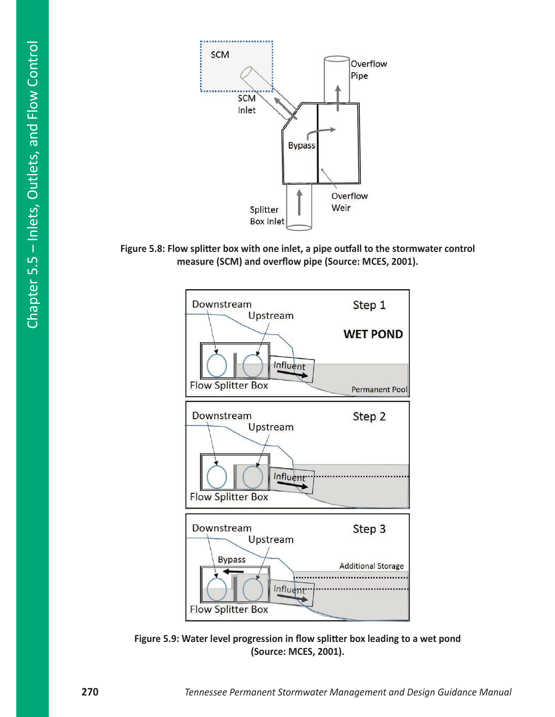

**Figure 5.8: Flow splitter box with one inlet, a pipe outfall to the stormwater control measure (SCM) and overflow pipe (Source: MCES, 2001).**



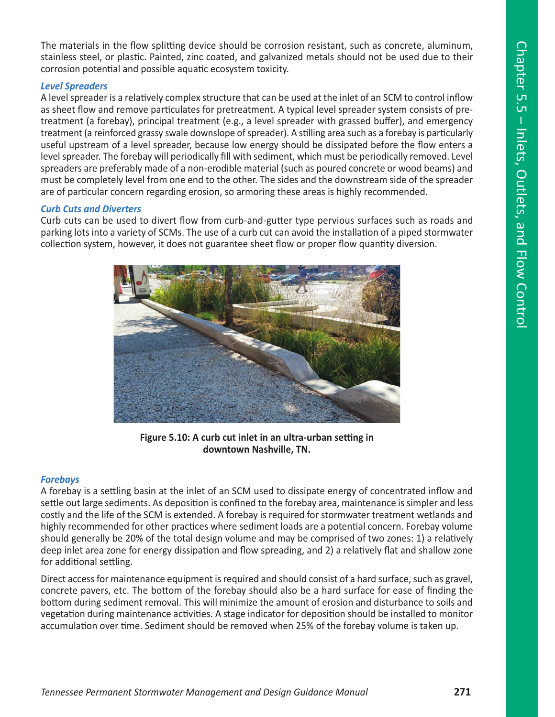The materials in the flow splitting device should be corrosion resistant, such as concrete, aluminum, stainless steel, or plastic. Painted, zinc coated, and galvanized metals should not be used due to their corrosion potential and possible aquatic ecosystem toxicity.

#### *Level Spreaders*

A level spreader is a relatively complex structure that can be used at the inlet of an SCM to control inflow as sheet flow and remove particulates for pretreatment. A typical level spreader system consists of pretreatment (a forebay), principal treatment (e.g., a level spreader with grassed buffer), and emergency treatment (a reinforced grassy swale downslope of spreader). A stilling area such as a forebay is particularly useful upstream of a level spreader, because low energy should be dissipated before the flow enters a level spreader. The forebay will periodically fill with sediment, which must be periodically removed. Level spreaders are preferably made of a non-erodible material (such as poured concrete or wood beams) and must be completely level from one end to the other. The sides and the downstream side of the spreader are of particular concern regarding erosion, so armoring these areas is highly recommended.

#### *Curb Cuts and Diverters*

Curb cuts can be used to divert flow from curb-and-gutter type pervious surfaces such as roads and parking lots into a variety of SCMs. The use of a curb cut can avoid the installation of a piped stormwater collection system, however, it does not guarantee sheet flow or proper flow quantity diversion.



**Figure 5.10: A curb cut inlet in an ultra-urban setting in downtown Nashville, TN.**

#### *Forebays*

A forebay is a settling basin at the inlet of an SCM used to dissipate energy of concentrated inflow and settle out large sediments. As deposition is confined to the forebay area, maintenance is simpler and less costly and the life of the SCM is extended. A forebay is required for stormwater treatment wetlands and highly recommended for other practices where sediment loads are a potential concern. Forebay volume should generally be 20% of the total design volume and may be comprised of two zones: 1) a relatively deep inlet area zone for energy dissipation and flow spreading, and 2) a relatively flat and shallow zone for additional settling.

Direct access for maintenance equipment is required and should consist of a hard surface, such as gravel, concrete pavers, etc. The bottom of the forebay should also be a hard surface for ease of finding the bottom during sediment removal. This will minimize the amount of erosion and disturbance to soils and vegetation during maintenance activities. A stage indicator for deposition should be installed to monitor accumulation over time. Sediment should be removed when 25% of the forebay volume is taken up.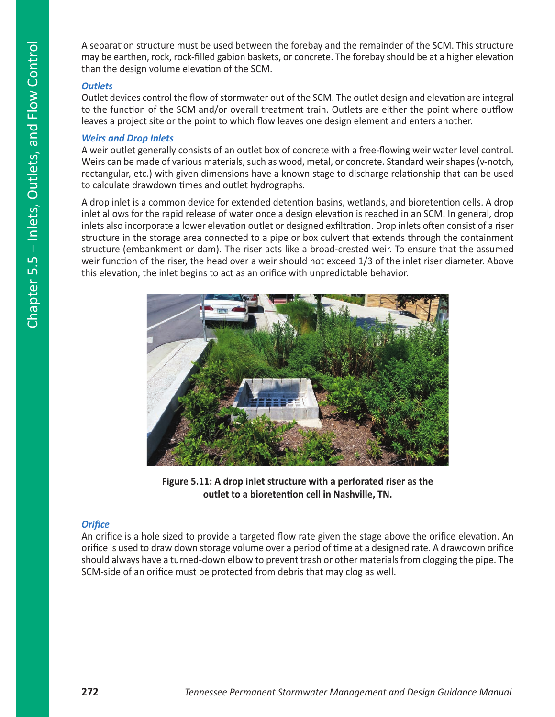A separation structure must be used between the forebay and the remainder of the SCM. This structure may be earthen, rock, rock-filled gabion baskets, or concrete. The forebay should be at a higher elevation than the design volume elevation of the SCM.

#### *Outlets*

Outlet devices control the flow of stormwater out of the SCM. The outlet design and elevation are integral to the function of the SCM and/or overall treatment train. Outlets are either the point where outflow leaves a project site or the point to which flow leaves one design element and enters another.

#### *Weirs and Drop Inlets*

A weir outlet generally consists of an outlet box of concrete with a free-flowing weir water level control. Weirs can be made of various materials, such as wood, metal, or concrete. Standard weir shapes (v-notch, rectangular, etc.) with given dimensions have a known stage to discharge relationship that can be used to calculate drawdown times and outlet hydrographs.

A drop inlet is a common device for extended detention basins, wetlands, and bioretention cells. A drop inlet allows for the rapid release of water once a design elevation is reached in an SCM. In general, drop inlets also incorporate a lower elevation outlet or designed exfiltration. Drop inlets often consist of a riser structure in the storage area connected to a pipe or box culvert that extends through the containment structure (embankment or dam). The riser acts like a broad-crested weir. To ensure that the assumed weir function of the riser, the head over a weir should not exceed 1/3 of the inlet riser diameter. Above this elevation, the inlet begins to act as an orifice with unpredictable behavior.



**Figure 5.11: A drop inlet structure with a perforated riser as the outlet to a bioretention cell in Nashville, TN.**

## *Orifice*

An orifice is a hole sized to provide a targeted flow rate given the stage above the orifice elevation. An orifice is used to draw down storage volume over a period of time at a designed rate. A drawdown orifice should always have a turned-down elbow to prevent trash or other materials from clogging the pipe. The SCM-side of an orifice must be protected from debris that may clog as well.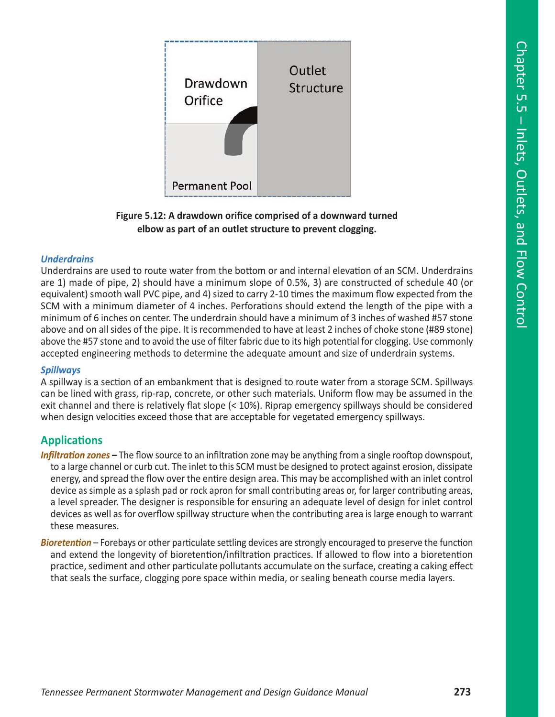

**Figure 5.12: A drawdown orifice comprised of a downward turned elbow as part of an outlet structure to prevent clogging.**

#### *Underdrains*

Underdrains are used to route water from the bottom or and internal elevation of an SCM. Underdrains are 1) made of pipe, 2) should have a minimum slope of 0.5%, 3) are constructed of schedule 40 (or equivalent) smooth wall PVC pipe, and 4) sized to carry 2-10 times the maximum flow expected from the SCM with a minimum diameter of 4 inches. Perforations should extend the length of the pipe with a minimum of 6 inches on center. The underdrain should have a minimum of 3 inches of washed #57 stone above and on all sides of the pipe. It is recommended to have at least 2 inches of choke stone (#89 stone) above the #57 stone and to avoid the use of filter fabric due to its high potential for clogging. Use commonly accepted engineering methods to determine the adequate amount and size of underdrain systems.

#### *Spillways*

A spillway is a section of an embankment that is designed to route water from a storage SCM. Spillways can be lined with grass, rip-rap, concrete, or other such materials. Uniform flow may be assumed in the exit channel and there is relatively flat slope (< 10%). Riprap emergency spillways should be considered when design velocities exceed those that are acceptable for vegetated emergency spillways.

## **Applications**

*Infiltration zones –* The flow source to an infiltration zone may be anything from a single rooftop downspout, to a large channel or curb cut. The inlet to this SCM must be designed to protect against erosion, dissipate energy, and spread the flow over the entire design area. This may be accomplished with an inlet control device as simple as a splash pad or rock apron for small contributing areas or, for larger contributing areas, a level spreader. The designer is responsible for ensuring an adequate level of design for inlet control devices as well as for overflow spillway structure when the contributing area is large enough to warrant these measures.

*Bioretention* – Forebays or other particulate settling devices are strongly encouraged to preserve the function and extend the longevity of bioretention/infiltration practices. If allowed to flow into a bioretention practice, sediment and other particulate pollutants accumulate on the surface, creating a caking effect that seals the surface, clogging pore space within media, or sealing beneath course media layers.